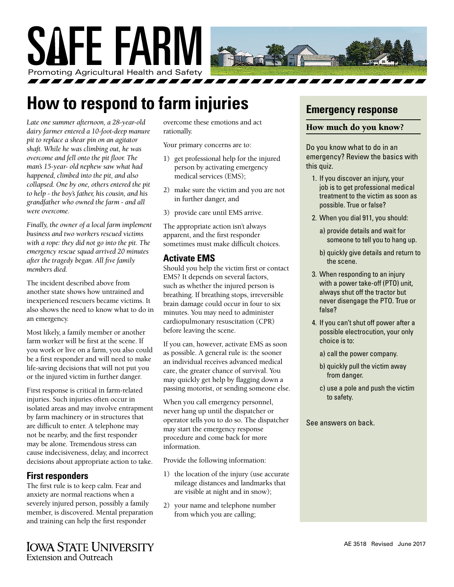

# **How to respond to farm injuries**

*Late one summer afternoon, a 28-year-old dairy farmer entered a 10-foot-deep manure pit to replace a shear pin on an agitator shaft. While he was climbing out, he was overcome and fell onto the pit floor. The man's 15-year- old nephew saw what had happened, climbed into the pit, and also collapsed. One by one, others entered the pit to help - the boy's father, his cousin, and his grandfather who owned the farm - and all were overcome.*

*Finally, the owner of a local farm implement business and two workers rescued victims with a rope: they did not go into the pit. The emergency rescue squad arrived 20 minutes after the tragedy began. All five family members died.*

The incident described above from another state shows how untrained and inexperienced rescuers became victims. It also shows the need to know what to do in an emergency.

Most likely, a family member or another farm worker will be first at the scene. If you work or live on a farm, you also could be a first responder and will need to make life-saving decisions that will not put you or the injured victim in further danger.

First response is critical in farm-related injuries. Such injuries often occur in isolated areas and may involve entrapment by farm machinery or in structures that are difficult to enter. A telephone may not be nearby, and the first responder may be alone. Tremendous stress can cause indecisiveness, delay, and incorrect decisions about appropriate action to take.

### **First responders**

The first rule is to keep calm. Fear and anxiety are normal reactions when a severely injured person, possibly a family member, is discovered. Mental preparation and training can help the first responder

overcome these emotions and act rationally.

Your primary concerns are to:

- 1) get professional help for the injured person by activating emergency medical services (EMS);
- 2) make sure the victim and you are not in further danger, and
- 3) provide care until EMS arrive.

The appropriate action isn't always apparent, and the first responder sometimes must make difficult choices.

#### **Activate EMS**

Should you help the victim first or contact EMS? It depends on several factors, such as whether the injured person is breathing. If breathing stops, irreversible brain damage could occur in four to six minutes. You may need to administer cardiopulmonary resuscitation (CPR) before leaving the scene.

If you can, however, activate EMS as soon as possible. A general rule is: the sooner an individual receives advanced medical care, the greater chance of survival. You may quickly get help by flagging down a passing motorist, or sending someone else.

When you call emergency personnel, never hang up until the dispatcher or operator tells you to do so. The dispatcher may start the emergency response procedure and come back for more information.

Provide the following information:

- 1) the location of the injury (use accurate mileage distances and landmarks that are visible at night and in snow);
- 2) your name and telephone number from which you are calling;

# **Emergency response**

#### How much do you know?

Do you know what to do in an emergency? Review the basics with this quiz.

- 1. If you discover an injury, your job is to get professional medical treatment to the victim as soon as possible. True or false?
- 2. When you dial 911, you should:
	- a) provide details and wait for someone to tell you to hang up.
	- b) quickly give details and return to the scene.
- 3. When responding to an injury with a power take-off (PTO) unit, always shut off the tractor but never disengage the PTO. True or false?
- 4. If you can't shut off power after a possible electrocution, your only choice is to:
	- a) call the power company.
	- b) quickly pull the victim away from danger.
	- c) use a pole and push the victim to safety.

#### See answers on back.